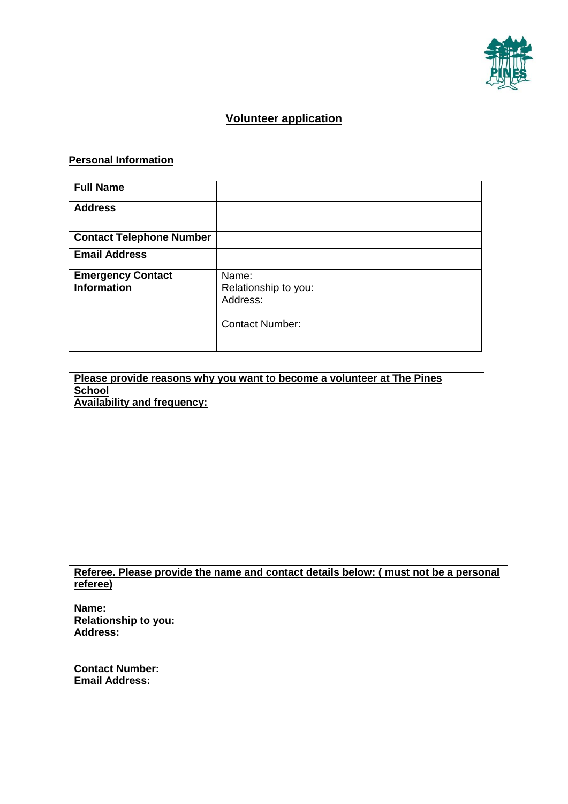

## **Volunteer application**

## **Personal Information**

| <b>Full Name</b>                |                        |
|---------------------------------|------------------------|
| <b>Address</b>                  |                        |
|                                 |                        |
| <b>Contact Telephone Number</b> |                        |
| <b>Email Address</b>            |                        |
| <b>Emergency Contact</b>        | Name:                  |
| <b>Information</b>              | Relationship to you:   |
|                                 | Address:               |
|                                 |                        |
|                                 | <b>Contact Number:</b> |
|                                 |                        |

| Please provide reasons why you want to become a volunteer at The Pines |  |  |
|------------------------------------------------------------------------|--|--|
| <b>School</b>                                                          |  |  |
| <b>Availability and frequency:</b>                                     |  |  |

**Referee. Please provide the name and contact details below: ( must not be a personal referee)**

**Name: Relationship to you: Address:**

**Contact Number: Email Address:**